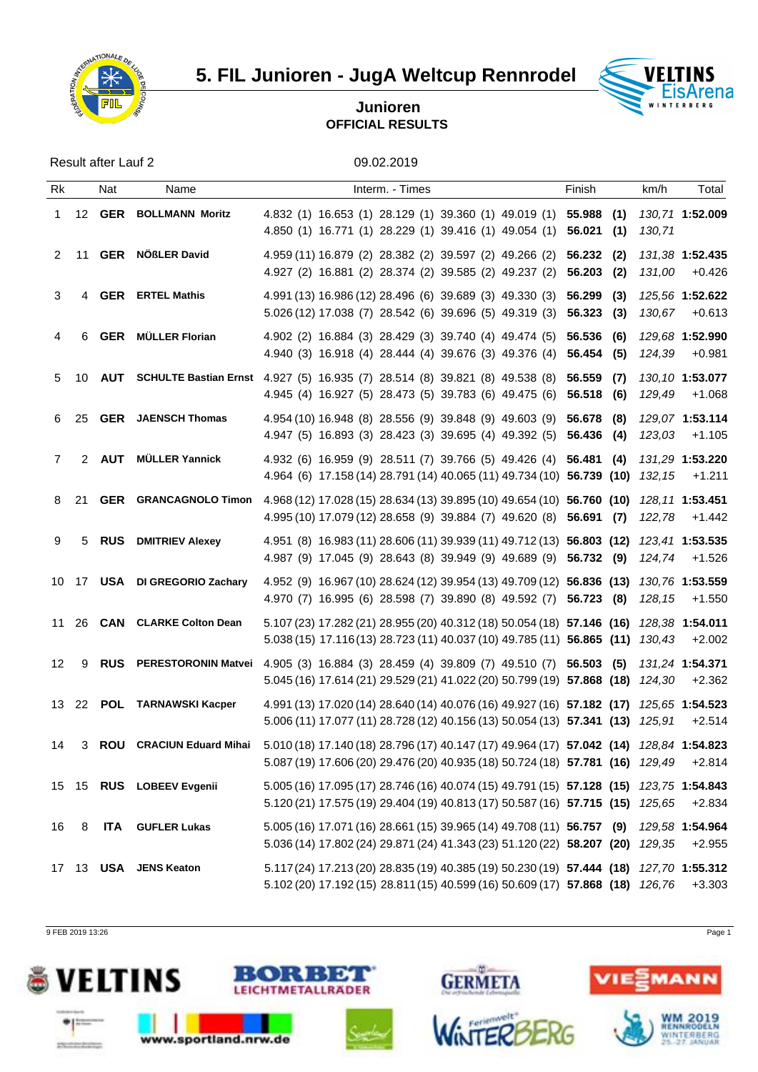

**5. FIL Junioren - JugA Weltcup Rennrodel VELTINS** 



## **Junioren OFFICIAL RESULTS**

Result after Lauf 2 09.02.2019

| Rk          |              | Nat | Name                          | Interm. - Times                                                                                                                                                                                       | Finish | km/h   | Total                                           |
|-------------|--------------|-----|-------------------------------|-------------------------------------------------------------------------------------------------------------------------------------------------------------------------------------------------------|--------|--------|-------------------------------------------------|
|             |              |     | 1 12 GER BOLLMANN Moritz      | 4.832 (1) 16.653 (1) 28.129 (1) 39.360 (1) 49.019 (1) 55.988 (1) 130,71 1:52.009<br>4.850 (1) 16.771 (1) 28.229 (1) 39.416 (1) 49.054 (1) 56.021 (1)                                                  |        | 130.71 |                                                 |
|             | $2 \quad 11$ |     | <b>GER</b> NÖßLER David       | 4.959 (11) 16.879 (2) 28.382 (2) 39.597 (2) 49.266 (2) 56.232 (2) 131,38 1:52.435<br>4.927 (2) 16.881 (2) 28.374 (2) 39.585 (2) 49.237 (2) 56.203 (2) 131,00 +0.426                                   |        |        |                                                 |
| 3           |              |     | 4 GER ERTEL Mathis            | 4.991 (13) 16.986 (12) 28.496 (6) 39.689 (3) 49.330 (3) 56.299 (3)<br>5.026 (12) 17.038 (7) 28.542 (6) 39.696 (5) 49.319 (3) 56.323 (3)                                                               |        |        | <i>125,56</i> 1: <b>52.622</b><br>130,67 +0.613 |
| 4           | 6            |     | <b>GER</b> MÜLLER Florian     | 4.902 (2) 16.884 (3) 28.429 (3) 39.740 (4) 49.474 (5) 56.536 (6) 129,68 1:52.990<br>4.940 (3) 16.918 (4) 28.444 (4) 39.676 (3) 49.376 (4) 56.454 (5) 124,39 +0.981                                    |        |        |                                                 |
|             | 5 10         |     |                               | AUT SCHULTE Bastian Ernst 4.927 (5) 16.935 (7) 28.514 (8) 39.821 (8) 49.538 (8) 56.559 (7) 130,10 1:53.077<br>4.945 (4) 16.927 (5) 28.473 (5) 39.783 (6) 49.475 (6) 56.518 (6)                        |        | 129,49 | +1.068                                          |
|             | 6 25         |     | <b>GER</b> JAENSCH Thomas     | 4.954 (10) 16.948 (8) 28.556 (9) 39.848 (9) 49.603 (9) 56.678 (8)<br>4.947 (5) 16.893 (3) 28.423 (3) 39.695 (4) 49.392 (5) 56.436 (4)                                                                 |        |        | 129,07 1:53.114<br>123,03 +1.105                |
| $7^{\circ}$ |              |     | 2 AUT MÜLLER Yannick          | 4.932 (6) 16.959 (9) 28.511 (7) 39.766 (5) 49.426 (4) 56.481 (4) 131,29 1:53.220<br>4.964 (6) 17.158 (14) 28.791 (14) 40.065 (11) 49.734 (10) 56.739 (10) 132,15 +1.211                               |        |        |                                                 |
|             | 8 21         |     |                               | GER GRANCAGNOLO Timon 4.968 (12) 17.028 (15) 28.634 (13) 39.895 (10) 49.654 (10) 56.760 (10) 128,11 1:53.451<br>4.995 (10) 17.079 (12) 28.658 (9) 39.884 (7) 49.620 (8) 56.691 (7) 122,78 +1.442      |        |        |                                                 |
| 9           |              |     | 5 RUS DMITRIEV Alexey         | 4.951 (8) 16.983 (11) 28.606 (11) 39.939 (11) 49.712 (13) 56.803 (12) 123,41 1:53.535<br>4.987 (9) 17.045 (9) 28.643 (8) 39.949 (9) 49.689 (9) 56.732 (9) 124,74 +1.526                               |        |        |                                                 |
|             |              |     | 10 17 USA DI GREGORIO Zachary | 4.952 (9) 16.967 (10) 28.624 (12) 39.954 (13) 49.709 (12) 56.836 (13) 130,76 1:53.559<br>4.970 (7) 16.995 (6) 28.598 (7) 39.890 (8) 49.592 (7) 56.723 (8) 128,15 +1.550                               |        |        |                                                 |
|             |              |     | 11 26 CAN CLARKE Colton Dean  | 5.107 (23) 17.282 (21) 28.955 (20) 40.312 (18) 50.054 (18) 57.146 (16) 128,38 1:54.011<br>5.038 (15) 17.116 (13) 28.723 (11) 40.037 (10) 49.785 (11) 56.865 (11) 130,43 +2.002                        |        |        |                                                 |
| 12          |              |     |                               | 9 RUS PERESTORONIN Matvei 4.905 (3) 16.884 (3) 28.459 (4) 39.809 (7) 49.510 (7) 56.503 (5) 131,24 1:54.371<br>5.045 (16) 17.614 (21) 29.529 (21) 41.022 (20) 50.799 (19) 57.868 (18) 124,30 +2.362    |        |        |                                                 |
|             |              |     | 13 22 POL TARNAWSKI Kacper    | 4.991 (13) 17.020 (14) 28.640 (14) 40.076 (16) 49.927 (16) 57.182 (17) 125,65 1:54.523<br>5.006 (11) 17.077 (11) 28.728 (12) 40.156 (13) 50.054 (13) 57.341 (13) 125,91 +2.514                        |        |        |                                                 |
|             |              |     |                               | 14 3 ROU CRACIUN Eduard Mihai 5.010 (18) 17.140 (18) 28.796 (17) 40.147 (17) 49.964 (17) 57.042 (14) 128,84 1:54.823<br>5.087 (19) 17.606 (20) 29.476 (20) 40.935 (18) 50.724 (18) 57.781 (16) 129,49 |        |        | $+2.814$                                        |
|             |              |     | 15 15 RUS LOBEEV Evgenii      | 5.005 (16) 17.095 (17) 28.746 (16) 40.074 (15) 49.791 (15) 57.128 (15) 123,75 1:54.843<br>5.120 (21) 17.575 (19) 29.404 (19) 40.813 (17) 50.587 (16) 57.715 (15) 125,65 +2.834                        |        |        |                                                 |
| 16          | 8            |     | <b>ITA</b> GUFLER Lukas       | 5.005 (16) 17.071 (16) 28.661 (15) 39.965 (14) 49.708 (11) 56.757 (9) 129,58 1:54.964<br>5.036 (14) 17.802 (24) 29.871 (24) 41.343 (23) 51.120 (22) 58.207 (20) 129,35 +2.955                         |        |        |                                                 |
|             |              |     | 17 13 USA JENS Keaton         | 5.117 (24) 17.213 (20) 28.835 (19) 40.385 (19) 50.230 (19) 57.444 (18) 127,70 1:55.312<br>5.102 (20) 17.192 (15) 28.811 (15) 40.599 (16) 50.609 (17) 57.868 (18) 126,76 +3.303                        |        |        |                                                 |

9 FEB 2019 13:26 Page 1

deligiously that development





www.sportland.nrw.de